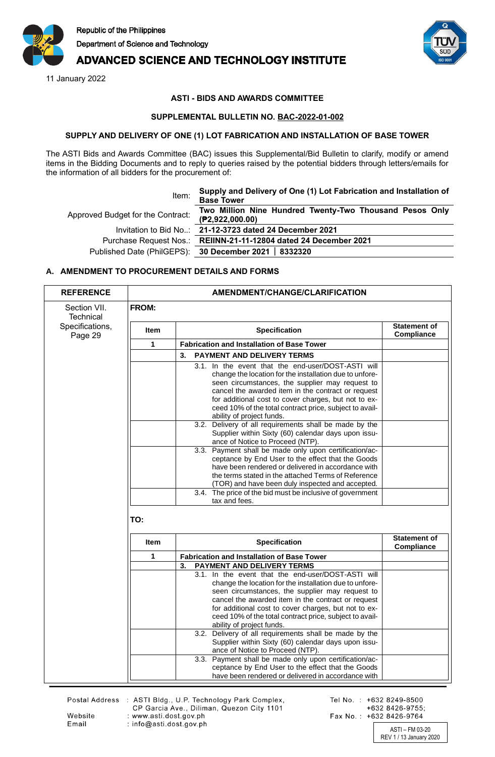

# **ADVANCED SCIENCE AND TECHNOLOGY INSTITUTE**

11 January 2022



## **ASTI - BIDS AND AWARDS COMMITTEE**

#### **SUPPLEMENTAL BULLETIN NO. BAC-2022-01-002**

#### **SUPPLY AND DELIVERY OF ONE (1) LOT FABRICATION AND INSTALLATION OF BASE TOWER**

The ASTI Bids and Awards Committee (BAC) issues this Supplemental/Bid Bulletin to clarify, modify or amend items in the Bidding Documents and to reply to queries raised by the potential bidders through letters/emails for the information of all bidders for the procurement of:

| Item:                             | Supply and Delivery of One (1) Lot Fabrication and Installation of<br><b>Base Tower</b> |
|-----------------------------------|-----------------------------------------------------------------------------------------|
| Approved Budget for the Contract: | Two Million Nine Hundred Twenty-Two Thousand Pesos Only<br>(P2,922,000.00)              |
|                                   | Invitation to Bid No: 21-12-3723 dated 24 December 2021                                 |
|                                   | Purchase Request Nos.: REIINN-21-11-12804 dated 24 December 2021                        |
|                                   | Published Date (PhilGEPS): 30 December 2021   8332320                                   |
|                                   |                                                                                         |

### **A. AMENDMENT TO PROCUREMENT DETAILS AND FORMS**

| <b>REFERENCE</b>           | <b>AMENDMENT/CHANGE/CLARIFICATION</b> |                                                                                                                                                                                                                                                                                                                                                                                                                                                                                         |                                   |
|----------------------------|---------------------------------------|-----------------------------------------------------------------------------------------------------------------------------------------------------------------------------------------------------------------------------------------------------------------------------------------------------------------------------------------------------------------------------------------------------------------------------------------------------------------------------------------|-----------------------------------|
| Section VII.<br>Technical  | <b>FROM:</b>                          |                                                                                                                                                                                                                                                                                                                                                                                                                                                                                         |                                   |
| Specifications,<br>Page 29 | <b>Item</b>                           | Specification                                                                                                                                                                                                                                                                                                                                                                                                                                                                           | <b>Statement of</b><br>Compliance |
|                            | 1                                     | <b>Fabrication and Installation of Base Tower</b>                                                                                                                                                                                                                                                                                                                                                                                                                                       |                                   |
|                            |                                       | 3.<br><b>PAYMENT AND DELIVERY TERMS</b>                                                                                                                                                                                                                                                                                                                                                                                                                                                 |                                   |
|                            |                                       | 3.1. In the event that the end-user/DOST-ASTI will<br>change the location for the installation due to unfore-<br>seen circumstances, the supplier may request to<br>cancel the awarded item in the contract or request<br>for additional cost to cover charges, but not to ex-<br>ceed 10% of the total contract price, subject to avail-<br>ability of project funds.<br>3.2. Delivery of all requirements shall be made by the<br>Supplier within Sixty (60) calendar days upon issu- |                                   |
|                            |                                       | ance of Notice to Proceed (NTP).<br>3.3. Payment shall be made only upon certification/ac-<br>ceptance by End User to the effect that the Goods<br>have been rendered or delivered in accordance with<br>the terms stated in the attached Terms of Reference<br>(TOR) and have been duly inspected and accepted.                                                                                                                                                                        |                                   |
|                            |                                       | 3.4. The price of the bid must be inclusive of government<br>tax and fees.                                                                                                                                                                                                                                                                                                                                                                                                              |                                   |
|                            | TO:<br><b>Item</b>                    | <b>Specification</b>                                                                                                                                                                                                                                                                                                                                                                                                                                                                    | <b>Statement of</b>               |
|                            |                                       |                                                                                                                                                                                                                                                                                                                                                                                                                                                                                         | Compliance                        |
|                            | 1                                     | <b>Fabrication and Installation of Base Tower</b>                                                                                                                                                                                                                                                                                                                                                                                                                                       |                                   |
|                            |                                       | PAYMENT AND DELIVERY TERMS<br>3.<br>3.1. In the event that the end-user/DOST-ASTI will<br>change the location for the installation due to unfore-<br>seen circumstances, the supplier may request to<br>cancel the awarded item in the contract or request<br>for additional cost to cover charges, but not to ex-<br>ceed 10% of the total contract price, subject to avail-<br>ability of project funds.                                                                              |                                   |
|                            |                                       | 3.2. Delivery of all requirements shall be made by the<br>Supplier within Sixty (60) calendar days upon issu-<br>ance of Notice to Proceed (NTP).<br>3.3. Payment shall be made only upon certification/ac-                                                                                                                                                                                                                                                                             |                                   |
|                            |                                       | ceptance by End User to the effect that the Goods<br>have been rendered or delivered in accordance with                                                                                                                                                                                                                                                                                                                                                                                 |                                   |